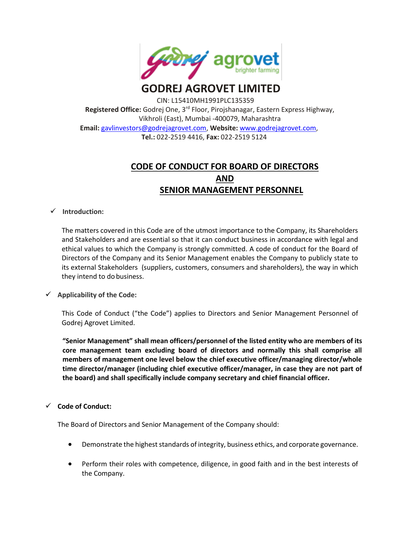

# **GODREJ AGROVET LIMITED**

CIN: L15410MH1991PLC135359 **Registered Office:** Godrej One, 3rd Floor, Pirojshanagar, Eastern Express Highway, Vikhroli (East), Mumbai -400079, Maharashtra **Email:** [gavlinvestors@godrejagrovet.com,](mailto:gavlinvestors@godrejagrovet.com) **Website:** [www.godrejagrovet.com,](http://www.godrejagrovet.com/) **Tel.:** 022-2519 4416, **Fax:** 022-2519 5124

## **CODE OF CONDUCT FOR BOARD OF DIRECTORS AND SENIOR MANAGEMENT PERSONNEL**

### **Introduction:**

The matters covered in this Code are of the utmost importance to the Company, its Shareholders and Stakeholders and are essential so that it can conduct business in accordance with legal and ethical values to which the Company is strongly committed. A code of conduct for the Board of Directors of the Company and its Senior Management enables the Company to publicly state to its external Stakeholders (suppliers, customers, consumers and shareholders), the way in which they intend to do business.

## **Applicability of the Code:**

This Code of Conduct ("the Code") applies to Directors and Senior Management Personnel of Godrej Agrovet Limited.

**"Senior Management" shall mean officers/personnel of the listed entity who are members of its core management team excluding board of directors and normally this shall comprise all members of management one level below the chief executive officer/managing director/whole time director/manager (including chief executive officer/manager, in case they are not part of the board) and shall specifically include company secretary and chief financial officer.**

## **Code of Conduct:**

The Board of Directors and Senior Management of the Company should:

- Demonstrate the highest standards of integrity, business ethics, and corporate governance.
- Perform their roles with competence, diligence, in good faith and in the best interests of the Company.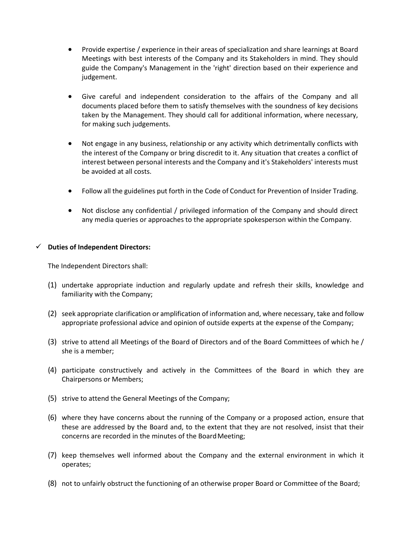- Provide expertise / experience in their areas of specialization and share learnings at Board Meetings with best interests of the Company and its Stakeholders in mind. They should guide the Company's Management in the 'right' direction based on their experience and judgement.
- Give careful and independent consideration to the affairs of the Company and all documents placed before them to satisfy themselves with the soundness of key decisions taken by the Management. They should call for additional information, where necessary, for making such judgements.
- Not engage in any business, relationship or any activity which detrimentally conflicts with the interest of the Company or bring discredit to it. Any situation that creates a conflict of interest between personal interests and the Company and it's Stakeholders' interests must be avoided at all costs.
- Follow all the guidelines put forth in the Code of Conduct for Prevention of Insider Trading.
- Not disclose any confidential / privileged information of the Company and should direct any media queries or approaches to the appropriate spokesperson within the Company.

#### **Duties of Independent Directors:**

The Independent Directors shall:

- (1) undertake appropriate induction and regularly update and refresh their skills, knowledge and familiarity with the Company;
- (2) seek appropriate clarification or amplification of information and, where necessary, take and follow appropriate professional advice and opinion of outside experts at the expense of the Company;
- (3) strive to attend all Meetings of the Board of Directors and of the Board Committees of which he / she is a member;
- (4) participate constructively and actively in the Committees of the Board in which they are Chairpersons or Members;
- (5) strive to attend the General Meetings of the Company;
- (6) where they have concerns about the running of the Company or a proposed action, ensure that these are addressed by the Board and, to the extent that they are not resolved, insist that their concerns are recorded in the minutes of the Board Meeting;
- (7) keep themselves well informed about the Company and the external environment in which it operates;
- (8) not to unfairly obstruct the functioning of an otherwise proper Board or Committee of the Board;